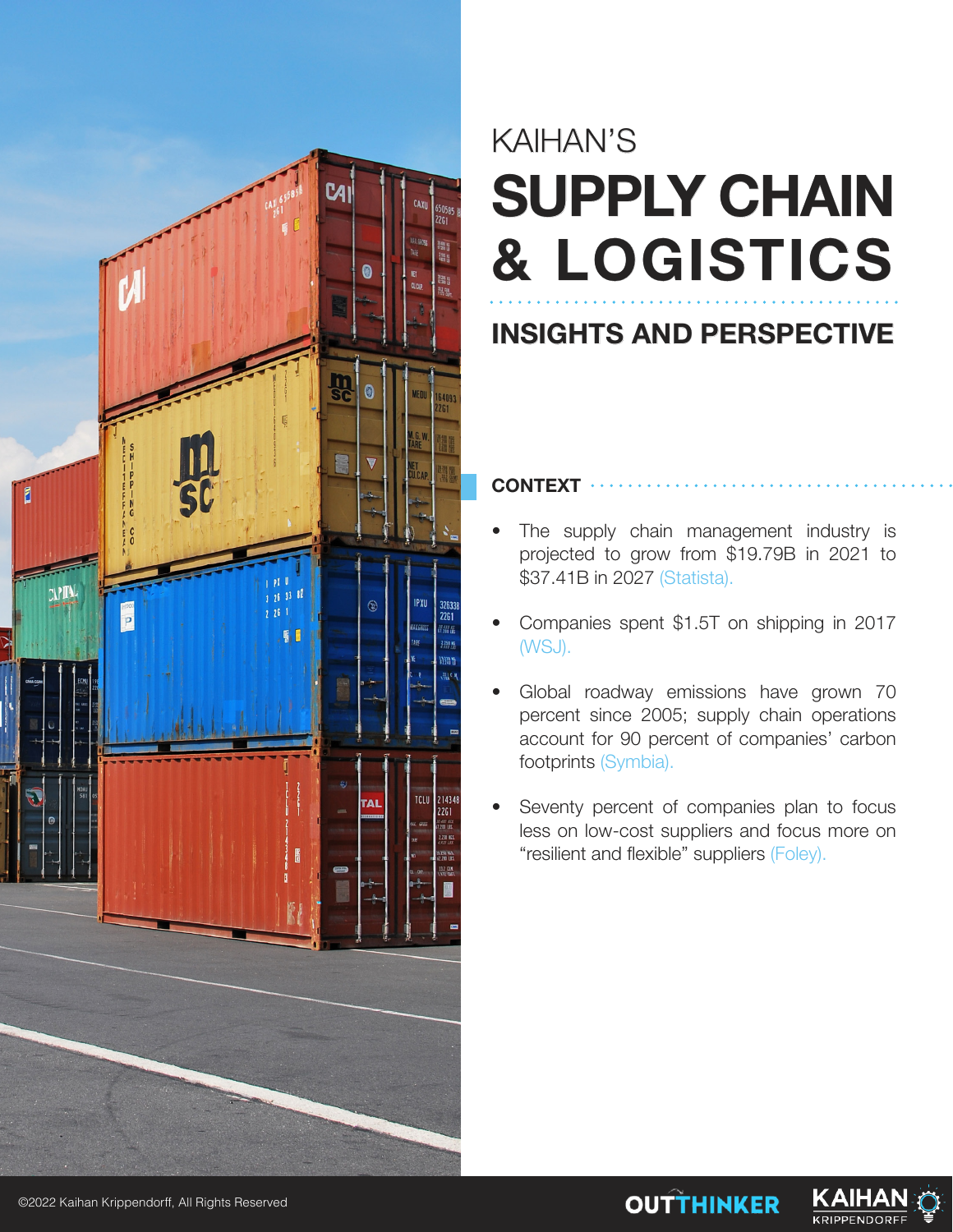

## KAIHAN'S **SUPPLY CHAIN & LOGISTICS**

### **INSIGHTS AND PERSPECTIVE**

**CONTEXT**

- The supply chain management industry is projected to grow from \$19.79B in 2021 to \$37.41B in 2027 (Statista).
- Companies spent \$1.5T on shipping in 2017 (WSJ).
- Global roadway emissions have grown 70 percent since 2005; supply chain operations account for 90 percent of companies' carbon footprints (Symbia).
- Seventy percent of companies plan to focus less on low-cost suppliers and focus more on "resilient and flexible" suppliers (Foley).

**OUTTHINKER** 

KAIHA

**KRIPPENDORF** 

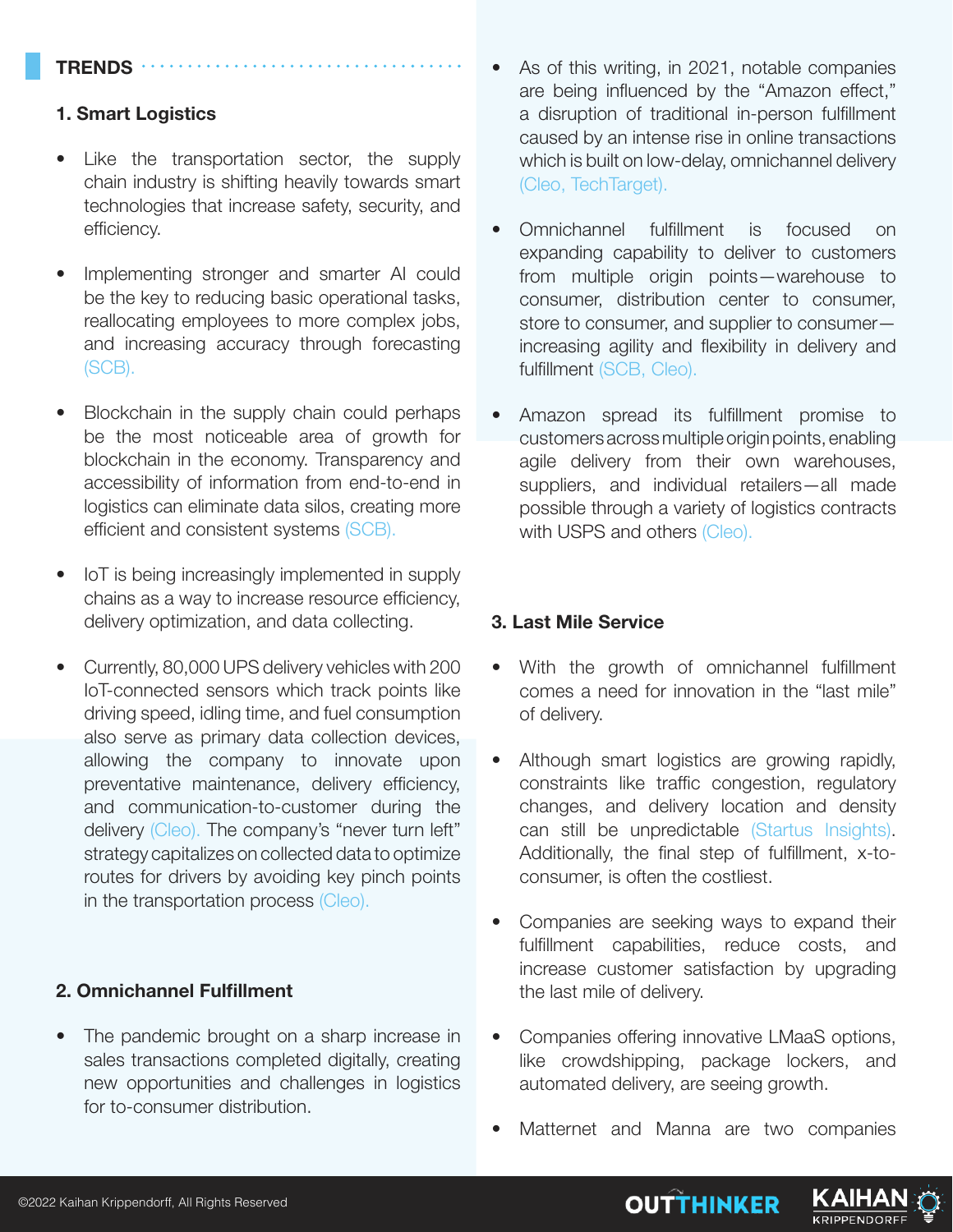#### **TRENDS**

#### **1. Smart Logistics**

- Like the transportation sector, the supply chain industry is shifting heavily towards smart technologies that increase safety, security, and efficiency.
- Implementing stronger and smarter AI could be the key to reducing basic operational tasks, reallocating employees to more complex jobs, and increasing accuracy through forecasting (SCB).
- Blockchain in the supply chain could perhaps be the most noticeable area of growth for blockchain in the economy. Transparency and accessibility of information from end-to-end in logistics can eliminate data silos, creating more efficient and consistent systems (SCB).
- IoT is being increasingly implemented in supply chains as a way to increase resource efficiency, delivery optimization, and data collecting.
- Currently, 80,000 UPS delivery vehicles with 200 IoT-connected sensors which track points like driving speed, idling time, and fuel consumption also serve as primary data collection devices, allowing the company to innovate upon preventative maintenance, delivery efficiency, and communication-to-customer during the delivery (Cleo). The company's "never turn left" strategy capitalizes on collected data to optimize routes for drivers by avoiding key pinch points in the transportation process (Cleo).

#### **2. Omnichannel Fulfillment**

• The pandemic brought on a sharp increase in sales transactions completed digitally, creating new opportunities and challenges in logistics for to-consumer distribution.

- As of this writing, in 2021, notable companies are being influenced by the "Amazon effect," a disruption of traditional in-person fulfillment caused by an intense rise in online transactions which is built on low-delay, omnichannel delivery (Cleo, TechTarget).
- Omnichannel fulfillment is focused on expanding capability to deliver to customers from multiple origin points—warehouse to consumer, distribution center to consumer, store to consumer, and supplier to consumer increasing agility and flexibility in delivery and fulfillment (SCB, Cleo).
- Amazon spread its fulfillment promise to customers across multiple origin points, enabling agile delivery from their own warehouses, suppliers, and individual retailers—all made possible through a variety of logistics contracts with USPS and others (Cleo).

#### **3. Last Mile Service**

- With the growth of omnichannel fulfillment comes a need for innovation in the "last mile" of delivery.
- Although smart logistics are growing rapidly, constraints like traffic congestion, regulatory changes, and delivery location and density can still be unpredictable (Startus Insights). Additionally, the final step of fulfillment, x-toconsumer, is often the costliest.
- Companies are seeking ways to expand their fulfillment capabilities, reduce costs, and increase customer satisfaction by upgrading the last mile of delivery.
- Companies offering innovative LMaaS options, like crowdshipping, package lockers, and automated delivery, are seeing growth.
- Matternet and Manna are two companies

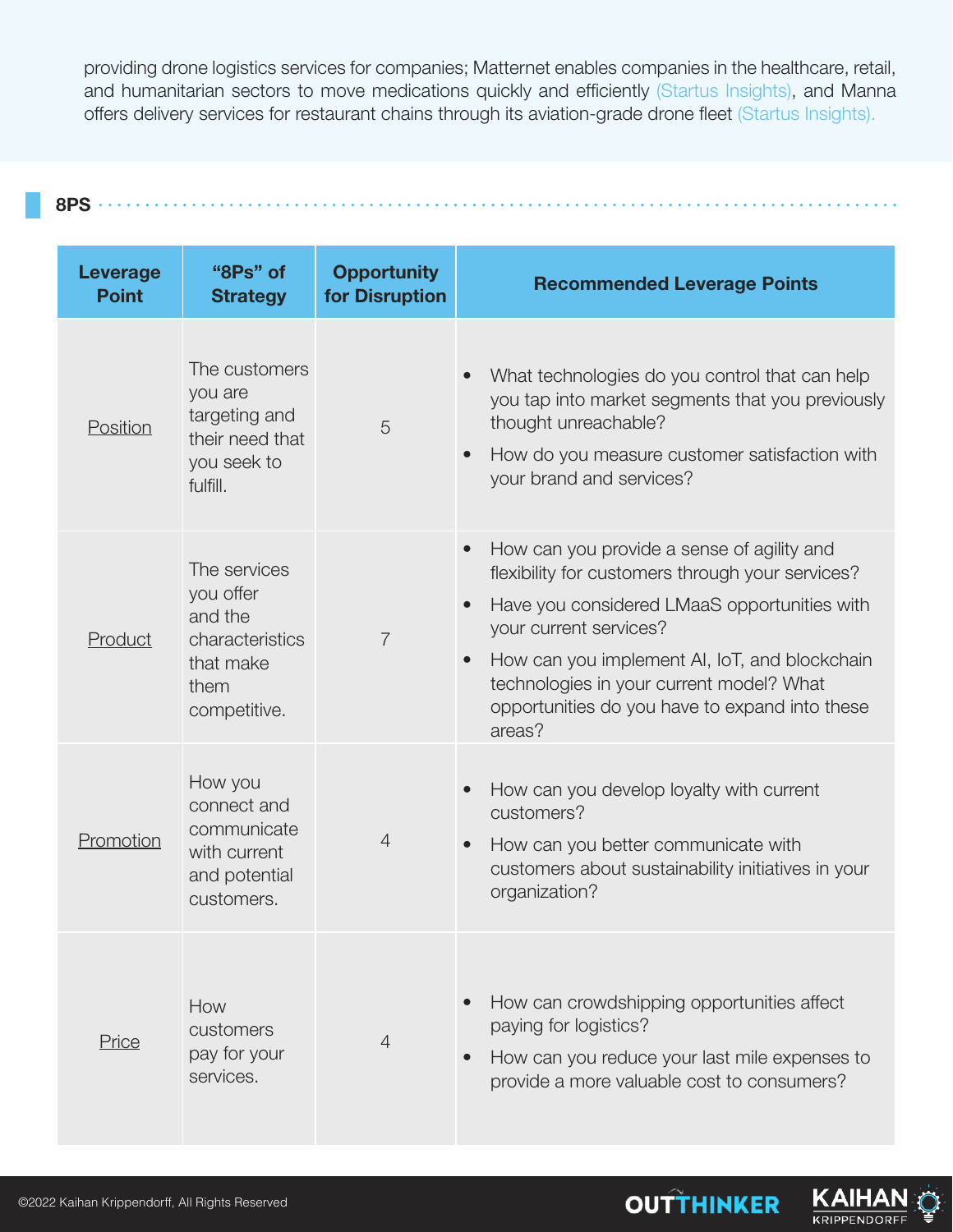providing drone logistics services for companies; Matternet enables companies in the healthcare, retail, and humanitarian sectors to move medications quickly and efficiently (Startus Insights), and Manna offers delivery services for restaurant chains through its aviation-grade drone fleet (Startus Insights).



**Leverage Point "8Ps" of Strategy Opportunity for Disruption Recommended Leverage Points Position** The customers you are targeting and their need that you seek to fulfill. 5 • What technologies do you control that can help you tap into market segments that you previously thought unreachable? • How do you measure customer satisfaction with your brand and services? **Product** The services you offer and the characteristics that make them competitive. 7 • How can you provide a sense of agility and flexibility for customers through your services? • Have you considered LMaaS opportunities with your current services? • How can you implement AI, IoT, and blockchain technologies in your current model? What opportunities do you have to expand into these areas? **Promotion** How you connect and communicate with current and potential customers. 4 • How can you develop loyalty with current customers? • How can you better communicate with customers about sustainability initiatives in your organization? Price How customers pay for your services. 4 • How can crowdshipping opportunities affect paying for logistics? • How can you reduce your last mile expenses to provide a more valuable cost to consumers?



**KRIPPENDORF**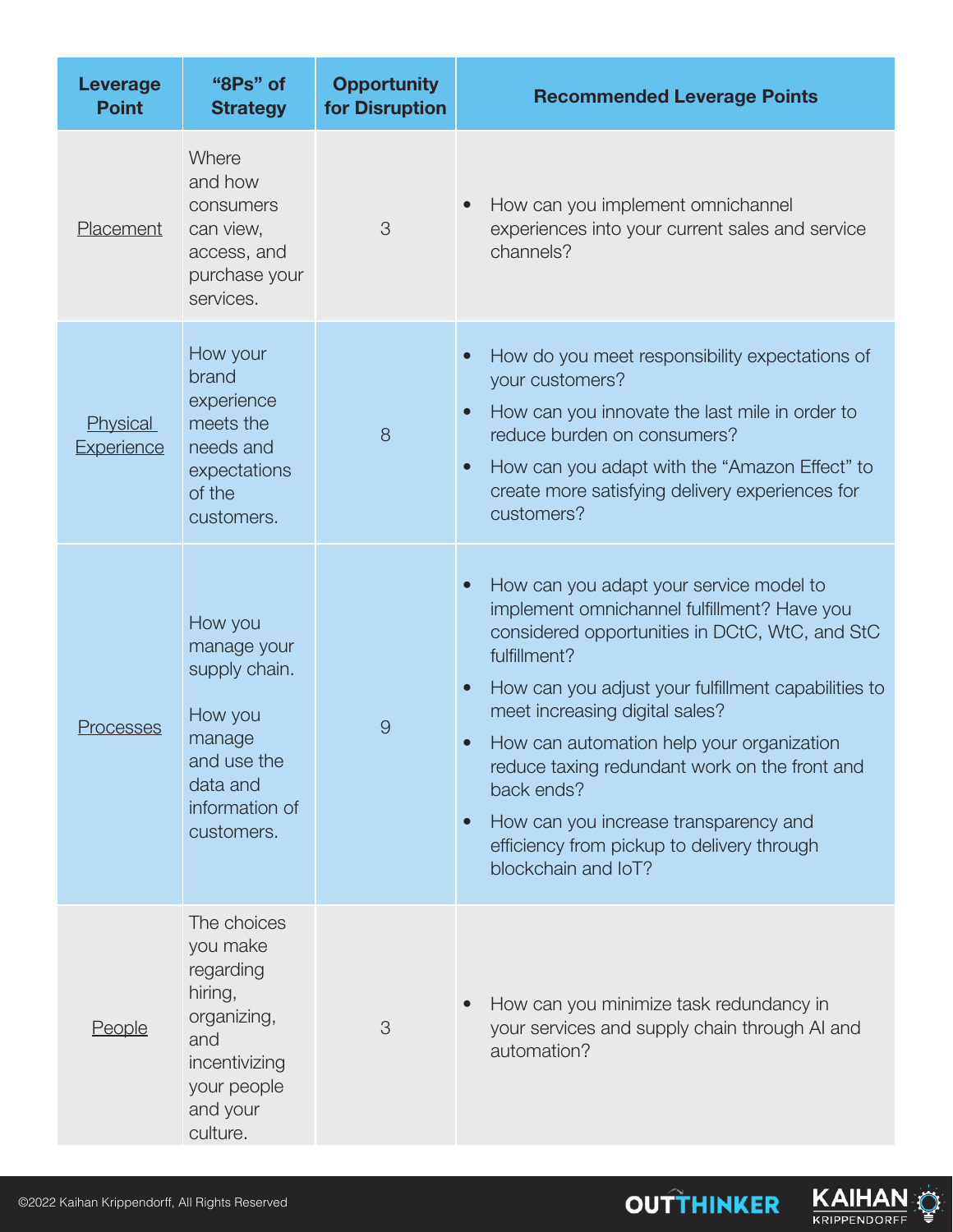| <b>Leverage</b><br><b>Point</b> | "8Ps" of<br><b>Strategy</b>                                                                                                   | <b>Opportunity</b><br>for Disruption | <b>Recommended Leverage Points</b>                                                                                                                                                                                                                                                                                                                                                                                                                                                                                              |
|---------------------------------|-------------------------------------------------------------------------------------------------------------------------------|--------------------------------------|---------------------------------------------------------------------------------------------------------------------------------------------------------------------------------------------------------------------------------------------------------------------------------------------------------------------------------------------------------------------------------------------------------------------------------------------------------------------------------------------------------------------------------|
| Placement                       | Where<br>and how<br>consumers<br>can view,<br>access, and<br>purchase your<br>services.                                       | 3                                    | How can you implement omnichannel<br>experiences into your current sales and service<br>channels?                                                                                                                                                                                                                                                                                                                                                                                                                               |
| Physical<br>Experience          | How your<br>brand<br>experience<br>meets the<br>needs and<br>expectations<br>of the<br>customers.                             | 8                                    | How do you meet responsibility expectations of<br>$\bullet$<br>your customers?<br>How can you innovate the last mile in order to<br>$\bullet$<br>reduce burden on consumers?<br>How can you adapt with the "Amazon Effect" to<br>$\bullet$<br>create more satisfying delivery experiences for<br>customers?                                                                                                                                                                                                                     |
| Processes                       | How you<br>manage your<br>supply chain.<br>How you<br>manage<br>and use the<br>data and<br>information of<br>customers.       | $\overline{9}$                       | How can you adapt your service model to<br>$\bullet$<br>implement omnichannel fulfillment? Have you<br>considered opportunities in DCtC, WtC, and StC<br>fulfillment?<br>How can you adjust your fulfillment capabilities to<br>$\bullet$<br>meet increasing digital sales?<br>How can automation help your organization<br>$\bullet$<br>reduce taxing redundant work on the front and<br>back ends?<br>How can you increase transparency and<br>$\bullet$<br>efficiency from pickup to delivery through<br>blockchain and loT? |
| People                          | The choices<br>you make<br>regarding<br>hiring,<br>organizing,<br>and<br>incentivizing<br>your people<br>and your<br>culture. | 3                                    | How can you minimize task redundancy in<br>your services and supply chain through AI and<br>automation?                                                                                                                                                                                                                                                                                                                                                                                                                         |

**OUTTHINKER**